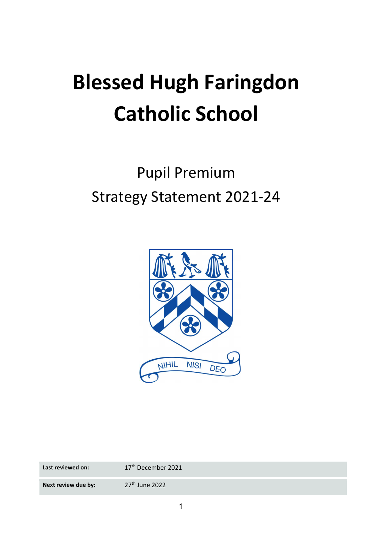# Blessed Hugh Faringdon Catholic School

# Pupil Premium Strategy Statement 2021-24



| Last reviewed on:   | 17 <sup>th</sup> December 2021 |
|---------------------|--------------------------------|
| Next review due by: | $27th$ June 2022               |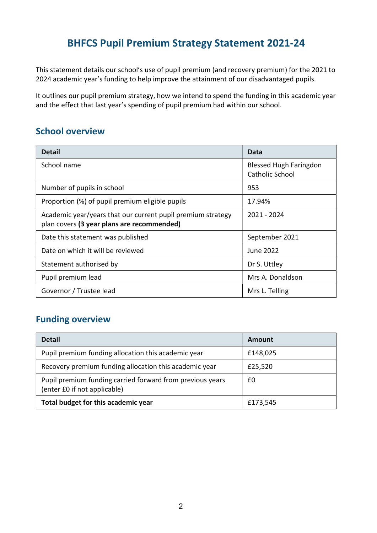# BHFCS Pupil Premium Strategy Statement 2021-24

This statement details our school's use of pupil premium (and recovery premium) for the 2021 to 2024 academic year's funding to help improve the attainment of our disadvantaged pupils.

It outlines our pupil premium strategy, how we intend to spend the funding in this academic year and the effect that last year's spending of pupil premium had within our school.

#### School overview

| <b>Detail</b>                                                                                             | Data                                             |
|-----------------------------------------------------------------------------------------------------------|--------------------------------------------------|
| School name                                                                                               | <b>Blessed Hugh Faringdon</b><br>Catholic School |
| Number of pupils in school                                                                                | 953                                              |
| Proportion (%) of pupil premium eligible pupils                                                           | 17.94%                                           |
| Academic year/years that our current pupil premium strategy<br>plan covers (3 year plans are recommended) | 2021 - 2024                                      |
| Date this statement was published                                                                         | September 2021                                   |
| Date on which it will be reviewed                                                                         | June 2022                                        |
| Statement authorised by                                                                                   | Dr S. Uttley                                     |
| Pupil premium lead                                                                                        | Mrs A. Donaldson                                 |
| Governor / Trustee lead                                                                                   | Mrs L. Telling                                   |

#### Funding overview

| <b>Detail</b>                                                                             | Amount   |
|-------------------------------------------------------------------------------------------|----------|
| Pupil premium funding allocation this academic year                                       | £148,025 |
| Recovery premium funding allocation this academic year                                    | £25,520  |
| Pupil premium funding carried forward from previous years<br>(enter £0 if not applicable) | £0       |
| Total budget for this academic year                                                       | £173,545 |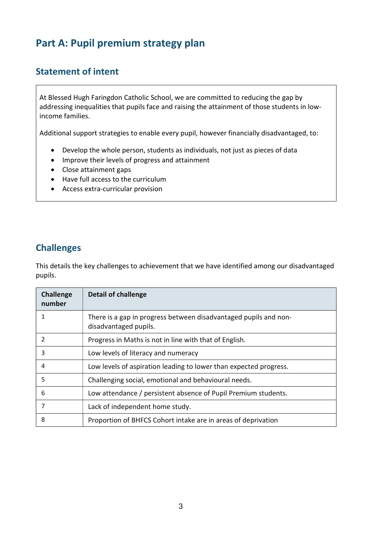# Part A: Pupil premium strategy plan

### Statement of intent

At Blessed Hugh Faringdon Catholic School, we are committed to reducing the gap by addressing inequalities that pupils face and raising the attainment of those students in lowincome families.

Additional support strategies to enable every pupil, however financially disadvantaged, to:

- Develop the whole person, students as individuals, not just as pieces of data
- Improve their levels of progress and attainment
- Close attainment gaps
- Have full access to the curriculum
- Access extra-curricular provision

#### Challenges

This details the key challenges to achievement that we have identified among our disadvantaged pupils.

| <b>Challenge</b><br>number | <b>Detail of challenge</b>                                                                |
|----------------------------|-------------------------------------------------------------------------------------------|
| 1                          | There is a gap in progress between disadvantaged pupils and non-<br>disadvantaged pupils. |
| 2                          | Progress in Maths is not in line with that of English.                                    |
| 3                          | Low levels of literacy and numeracy                                                       |
| 4                          | Low levels of aspiration leading to lower than expected progress.                         |
| 5                          | Challenging social, emotional and behavioural needs.                                      |
| 6                          | Low attendance / persistent absence of Pupil Premium students.                            |
| 7                          | Lack of independent home study.                                                           |
| 8                          | Proportion of BHFCS Cohort intake are in areas of deprivation                             |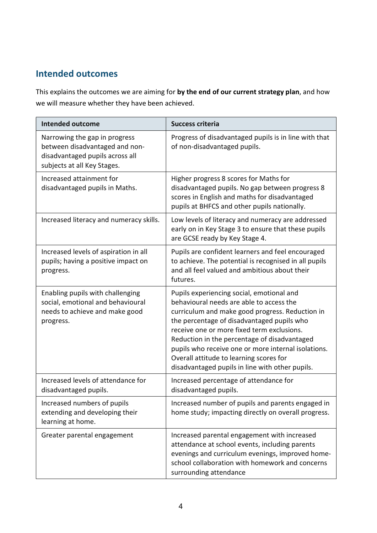#### Intended outcomes

This explains the outcomes we are aiming for by the end of our current strategy plan, and how we will measure whether they have been achieved.

| <b>Intended outcome</b>                                                                                                           | <b>Success criteria</b>                                                                                                                                                                                                                                                                                                                                                                                                                   |  |
|-----------------------------------------------------------------------------------------------------------------------------------|-------------------------------------------------------------------------------------------------------------------------------------------------------------------------------------------------------------------------------------------------------------------------------------------------------------------------------------------------------------------------------------------------------------------------------------------|--|
| Narrowing the gap in progress<br>between disadvantaged and non-<br>disadvantaged pupils across all<br>subjects at all Key Stages. | Progress of disadvantaged pupils is in line with that<br>of non-disadvantaged pupils.                                                                                                                                                                                                                                                                                                                                                     |  |
| Increased attainment for<br>disadvantaged pupils in Maths.                                                                        | Higher progress 8 scores for Maths for<br>disadvantaged pupils. No gap between progress 8<br>scores in English and maths for disadvantaged<br>pupils at BHFCS and other pupils nationally.                                                                                                                                                                                                                                                |  |
| Increased literacy and numeracy skills.                                                                                           | Low levels of literacy and numeracy are addressed<br>early on in Key Stage 3 to ensure that these pupils<br>are GCSE ready by Key Stage 4.                                                                                                                                                                                                                                                                                                |  |
| Increased levels of aspiration in all<br>pupils; having a positive impact on<br>progress.                                         | Pupils are confident learners and feel encouraged<br>to achieve. The potential is recognised in all pupils<br>and all feel valued and ambitious about their<br>futures.                                                                                                                                                                                                                                                                   |  |
| Enabling pupils with challenging<br>social, emotional and behavioural<br>needs to achieve and make good<br>progress.              | Pupils experiencing social, emotional and<br>behavioural needs are able to access the<br>curriculum and make good progress. Reduction in<br>the percentage of disadvantaged pupils who<br>receive one or more fixed term exclusions.<br>Reduction in the percentage of disadvantaged<br>pupils who receive one or more internal isolations.<br>Overall attitude to learning scores for<br>disadvantaged pupils in line with other pupils. |  |
| Increased levels of attendance for<br>disadvantaged pupils.                                                                       | Increased percentage of attendance for<br>disadvantaged pupils.                                                                                                                                                                                                                                                                                                                                                                           |  |
| Increased numbers of pupils<br>extending and developing their<br>learning at home.                                                | Increased number of pupils and parents engaged in<br>home study; impacting directly on overall progress.                                                                                                                                                                                                                                                                                                                                  |  |
| Greater parental engagement                                                                                                       | Increased parental engagement with increased<br>attendance at school events, including parents<br>evenings and curriculum evenings, improved home-<br>school collaboration with homework and concerns<br>surrounding attendance                                                                                                                                                                                                           |  |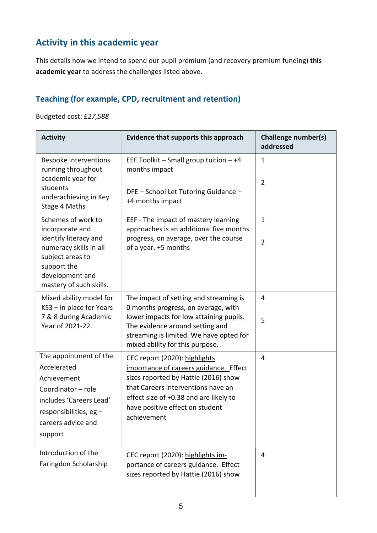# Activity in this academic year

This details how we intend to spend our pupil premium (and recovery premium funding) this academic year to address the challenges listed above.

#### Teaching (for example, CPD, recruitment and retention)

Budgeted cost: £27,588

| <b>Activity</b>                                                                                                                                                           | <b>Evidence that supports this approach</b>                                                                                                                                                                                                       | <b>Challenge number(s)</b><br>addressed |
|---------------------------------------------------------------------------------------------------------------------------------------------------------------------------|---------------------------------------------------------------------------------------------------------------------------------------------------------------------------------------------------------------------------------------------------|-----------------------------------------|
| Bespoke interventions<br>running throughout<br>academic year for<br>students<br>underachieving in Key<br>Stage 4 Maths                                                    | EEF Toolkit - Small group tuition - +4<br>months impact<br>DFE - School Let Tutoring Guidance -<br>+4 months impact                                                                                                                               | $\mathbf 1$<br>$\overline{2}$           |
| Schemes of work to<br>incorporate and<br>identify literacy and<br>numeracy skills in all<br>subject areas to<br>support the<br>development and<br>mastery of such skills. | EEF - The impact of mastery learning<br>approaches is an additional five months<br>progress, on average, over the course<br>of a year. +5 months                                                                                                  | $\mathbf{1}$<br>$\overline{2}$          |
| Mixed ability model for<br>KS3 - in place for Years<br>7 & 8 during Academic<br>Year of 2021-22.                                                                          | The impact of setting and streaming is<br>0 months progress, on average, with<br>lower impacts for low attaining pupils.<br>The evidence around setting and<br>streaming is limited. We have opted for<br>mixed ability for this purpose.         | 4<br>5                                  |
| The appointment of the<br>Accelerated<br>Achievement<br>Coordinator - role<br>includes 'Careers Lead'<br>responsibilities, eg -<br>careers advice and<br>support          | CEC report (2020): highlights<br>importance of careers guidance. Effect<br>sizes reported by Hattie (2016) show<br>that Careers interventions have an<br>effect size of +0.38 and are likely to<br>have positive effect on student<br>achievement | 4                                       |
| Introduction of the<br>Faringdon Scholarship                                                                                                                              | CEC report (2020): highlights im-<br>portance of careers guidance. Effect<br>sizes reported by Hattie (2016) show                                                                                                                                 | 4                                       |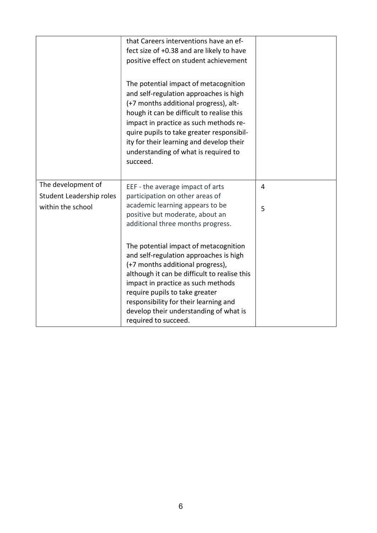|                                                | that Careers interventions have an ef-<br>fect size of +0.38 and are likely to have<br>positive effect on student achievement                                                                                                                                                                                                                                |   |
|------------------------------------------------|--------------------------------------------------------------------------------------------------------------------------------------------------------------------------------------------------------------------------------------------------------------------------------------------------------------------------------------------------------------|---|
|                                                | The potential impact of metacognition<br>and self-regulation approaches is high<br>(+7 months additional progress), alt-<br>hough it can be difficult to realise this<br>impact in practice as such methods re-<br>quire pupils to take greater responsibil-<br>ity for their learning and develop their<br>understanding of what is required to<br>succeed. |   |
| The development of<br>Student Leadership roles | EEF - the average impact of arts<br>participation on other areas of                                                                                                                                                                                                                                                                                          | 4 |
| within the school                              | academic learning appears to be<br>positive but moderate, about an<br>additional three months progress.                                                                                                                                                                                                                                                      | 5 |
|                                                | The potential impact of metacognition<br>and self-regulation approaches is high<br>(+7 months additional progress),<br>although it can be difficult to realise this<br>impact in practice as such methods                                                                                                                                                    |   |
|                                                | require pupils to take greater<br>responsibility for their learning and                                                                                                                                                                                                                                                                                      |   |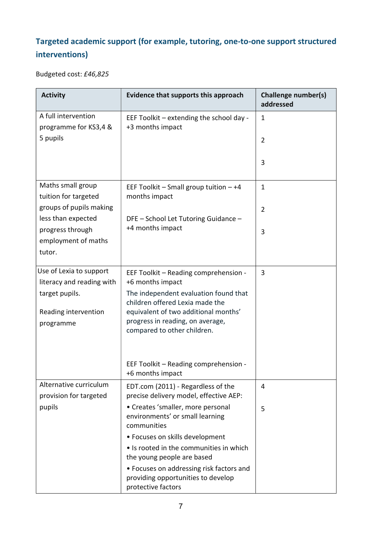# Targeted academic support (for example, tutoring, one-to-one support structured interventions)

Budgeted cost: £46,825

| <b>Activity</b>                                                                                             | <b>Evidence that supports this approach</b>                                                                                                                                                                                                      | <b>Challenge number(s)</b><br>addressed |
|-------------------------------------------------------------------------------------------------------------|--------------------------------------------------------------------------------------------------------------------------------------------------------------------------------------------------------------------------------------------------|-----------------------------------------|
| A full intervention<br>programme for KS3,4 &                                                                | EEF Toolkit - extending the school day -<br>+3 months impact                                                                                                                                                                                     | $\mathbf{1}$                            |
| 5 pupils                                                                                                    |                                                                                                                                                                                                                                                  | $\overline{2}$                          |
|                                                                                                             |                                                                                                                                                                                                                                                  | 3                                       |
| Maths small group<br>tuition for targeted                                                                   | EEF Toolkit $-$ Small group tuition $-+4$<br>months impact                                                                                                                                                                                       | $\mathbf{1}$                            |
| groups of pupils making<br>less than expected                                                               | DFE - School Let Tutoring Guidance -                                                                                                                                                                                                             | $\overline{2}$                          |
| progress through<br>employment of maths<br>tutor.                                                           | +4 months impact                                                                                                                                                                                                                                 | 3                                       |
| Use of Lexia to support<br>literacy and reading with<br>target pupils.<br>Reading intervention<br>programme | EEF Toolkit - Reading comprehension -<br>+6 months impact<br>The independent evaluation found that<br>children offered Lexia made the<br>equivalent of two additional months'<br>progress in reading, on average,<br>compared to other children. | 3                                       |
|                                                                                                             | EEF Toolkit - Reading comprehension -<br>+6 months impact                                                                                                                                                                                        |                                         |
| Alternative curriculum<br>provision for targeted                                                            | EDT.com (2011) - Regardless of the<br>precise delivery model, effective AEP:                                                                                                                                                                     | 4                                       |
| pupils                                                                                                      | • Creates 'smaller, more personal<br>environments' or small learning<br>communities                                                                                                                                                              | 5                                       |
|                                                                                                             | • Focuses on skills development                                                                                                                                                                                                                  |                                         |
|                                                                                                             | • Is rooted in the communities in which<br>the young people are based                                                                                                                                                                            |                                         |
|                                                                                                             | • Focuses on addressing risk factors and<br>providing opportunities to develop<br>protective factors                                                                                                                                             |                                         |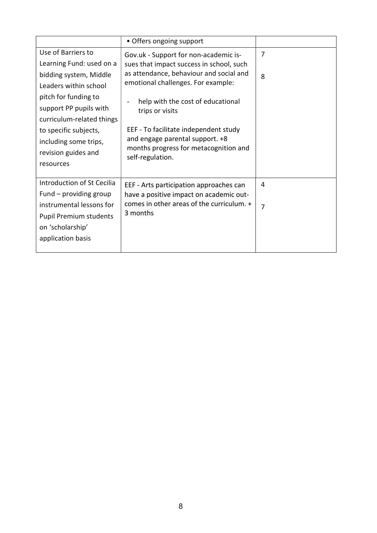|                               | • Offers ongoing support                                  |   |
|-------------------------------|-----------------------------------------------------------|---|
| Use of Barriers to            | Gov.uk - Support for non-academic is-                     | 7 |
| Learning Fund: used on a      | sues that impact success in school, such                  |   |
| bidding system, Middle        | as attendance, behaviour and social and                   | 8 |
| Leaders within school         | emotional challenges. For example:                        |   |
| pitch for funding to          | help with the cost of educational                         |   |
| support PP pupils with        | trips or visits                                           |   |
| curriculum-related things     |                                                           |   |
| to specific subjects,         | EEF - To facilitate independent study                     |   |
| including some trips,         | and engage parental support. +8                           |   |
| revision guides and           | months progress for metacognition and<br>self-regulation. |   |
| resources                     |                                                           |   |
|                               |                                                           |   |
| Introduction of St Cecilia    | EEF - Arts participation approaches can                   | 4 |
| Fund – providing group        | have a positive impact on academic out-                   |   |
| instrumental lessons for      | comes in other areas of the curriculum. +                 | 7 |
| <b>Pupil Premium students</b> | 3 months                                                  |   |
| on 'scholarship'              |                                                           |   |
| application basis             |                                                           |   |
|                               |                                                           |   |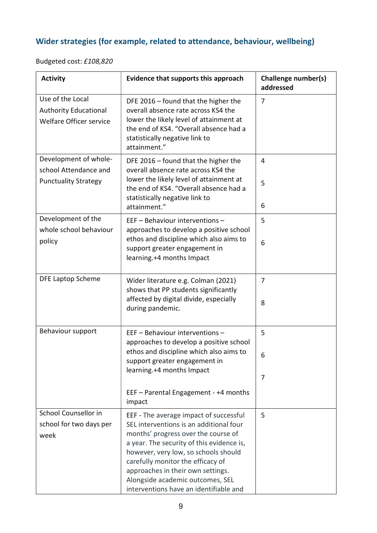# Wider strategies (for example, related to attendance, behaviour, wellbeing)

Budgeted cost: £108,820

| <b>Activity</b>                                                               | Evidence that supports this approach                                                                                                                                                                               | <b>Challenge number(s)</b><br>addressed |
|-------------------------------------------------------------------------------|--------------------------------------------------------------------------------------------------------------------------------------------------------------------------------------------------------------------|-----------------------------------------|
| Use of the Local<br><b>Authority Educational</b><br>Welfare Officer service   | DFE 2016 – found that the higher the<br>overall absence rate across KS4 the<br>lower the likely level of attainment at<br>the end of KS4. "Overall absence had a<br>statistically negative link to<br>attainment." | 7                                       |
| Development of whole-<br>school Attendance and<br><b>Punctuality Strategy</b> | DFE 2016 – found that the higher the<br>overall absence rate across KS4 the<br>lower the likely level of attainment at<br>the end of KS4. "Overall absence had a<br>statistically negative link to                 | 4<br>5<br>6                             |
|                                                                               | attainment."                                                                                                                                                                                                       |                                         |
| Development of the<br>whole school behaviour                                  | EEF - Behaviour interventions -<br>approaches to develop a positive school                                                                                                                                         | 5                                       |
| policy                                                                        | ethos and discipline which also aims to<br>support greater engagement in<br>learning.+4 months Impact                                                                                                              | 6                                       |
| DFE Laptop Scheme                                                             | Wider literature e.g. Colman (2021)<br>shows that PP students significantly<br>affected by digital divide, especially                                                                                              | 7                                       |
|                                                                               | during pandemic.                                                                                                                                                                                                   | 8                                       |
| Behaviour support                                                             | EEF - Behaviour interventions -<br>approaches to develop a positive school                                                                                                                                         | 5                                       |
|                                                                               | ethos and discipline which also aims to<br>support greater engagement in<br>learning.+4 months Impact                                                                                                              | 6                                       |
|                                                                               |                                                                                                                                                                                                                    | 7                                       |
|                                                                               | EEF - Parental Engagement - +4 months<br>impact                                                                                                                                                                    |                                         |
| School Counsellor in                                                          | EEF - The average impact of successful                                                                                                                                                                             | 5                                       |
| school for two days per                                                       | SEL interventions is an additional four                                                                                                                                                                            |                                         |
| week                                                                          | months' progress over the course of                                                                                                                                                                                |                                         |
|                                                                               | a year. The security of this evidence is,<br>however, very low, so schools should                                                                                                                                  |                                         |
|                                                                               | carefully monitor the efficacy of                                                                                                                                                                                  |                                         |
|                                                                               | approaches in their own settings.<br>Alongside academic outcomes, SEL                                                                                                                                              |                                         |
|                                                                               | interventions have an identifiable and                                                                                                                                                                             |                                         |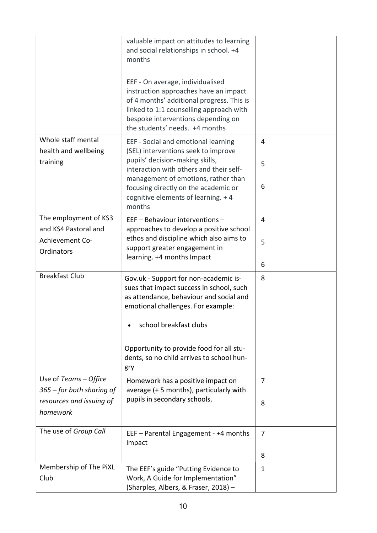|                                                                                              | valuable impact on attitudes to learning<br>and social relationships in school. +4<br>months<br>EEF - On average, individualised<br>instruction approaches have an impact<br>of 4 months' additional progress. This is<br>linked to 1:1 counselling approach with<br>bespoke interventions depending on<br>the students' needs. +4 months |                     |
|----------------------------------------------------------------------------------------------|-------------------------------------------------------------------------------------------------------------------------------------------------------------------------------------------------------------------------------------------------------------------------------------------------------------------------------------------|---------------------|
| Whole staff mental<br>health and wellbeing<br>training                                       | EEF - Social and emotional learning<br>(SEL) interventions seek to improve<br>pupils' decision-making skills,<br>interaction with others and their self-<br>management of emotions, rather than<br>focusing directly on the academic or<br>cognitive elements of learning. + 4<br>months                                                  | 4<br>5<br>6         |
| The employment of KS3<br>and KS4 Pastoral and<br>Achievement Co-<br>Ordinators               | EEF - Behaviour interventions -<br>approaches to develop a positive school<br>ethos and discipline which also aims to<br>support greater engagement in<br>learning. +4 months Impact                                                                                                                                                      | 4<br>5<br>6         |
| <b>Breakfast Club</b>                                                                        | Gov.uk - Support for non-academic is-<br>sues that impact success in school, such<br>as attendance, behaviour and social and<br>emotional challenges. For example:<br>school breakfast clubs<br>Opportunity to provide food for all stu-<br>dents, so no child arrives to school hun-<br>gry                                              | 8                   |
| Use of Teams $-$ Office<br>365 – for both sharing of<br>resources and issuing of<br>homework | Homework has a positive impact on<br>average (+5 months), particularly with<br>pupils in secondary schools.                                                                                                                                                                                                                               | 7<br>8              |
| The use of Group Call                                                                        | EEF - Parental Engagement - +4 months<br>impact                                                                                                                                                                                                                                                                                           | $\overline{7}$<br>8 |
| Membership of The PiXL<br>Club                                                               | The EEF's guide "Putting Evidence to<br>Work, A Guide for Implementation"<br>(Sharples, Albers, & Fraser, 2018) -                                                                                                                                                                                                                         | 1                   |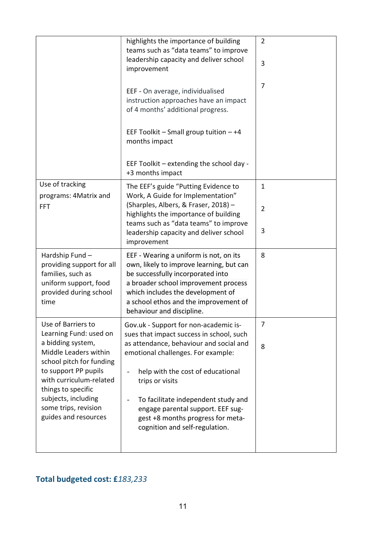|                                                                                                                              | highlights the importance of building<br>teams such as "data teams" to improve<br>leadership capacity and deliver school<br>improvement                                                                                                                                    | $\overline{2}$<br>3            |
|------------------------------------------------------------------------------------------------------------------------------|----------------------------------------------------------------------------------------------------------------------------------------------------------------------------------------------------------------------------------------------------------------------------|--------------------------------|
|                                                                                                                              | EEF - On average, individualised<br>instruction approaches have an impact<br>of 4 months' additional progress.                                                                                                                                                             | $\overline{7}$                 |
|                                                                                                                              | EEF Toolkit $-$ Small group tuition $-+4$<br>months impact                                                                                                                                                                                                                 |                                |
|                                                                                                                              | EEF Toolkit - extending the school day -<br>+3 months impact                                                                                                                                                                                                               |                                |
| Use of tracking<br>programs: 4Matrix and<br><b>FFT</b>                                                                       | The EEF's guide "Putting Evidence to<br>Work, A Guide for Implementation"<br>(Sharples, Albers, & Fraser, 2018) -<br>highlights the importance of building                                                                                                                 | $\mathbf{1}$<br>$\overline{2}$ |
|                                                                                                                              | teams such as "data teams" to improve<br>leadership capacity and deliver school<br>improvement                                                                                                                                                                             | 3                              |
| Hardship Fund -<br>providing support for all<br>families, such as<br>uniform support, food<br>provided during school<br>time | EEF - Wearing a uniform is not, on its<br>own, likely to improve learning, but can<br>be successfully incorporated into<br>a broader school improvement process<br>which includes the development of<br>a school ethos and the improvement of<br>behaviour and discipline. | 8                              |
| Use of Barriers to<br>Learning Fund: used on<br>a bidding system,<br>Middle Leaders within<br>school pitch for funding       | Gov.uk - Support for non-academic is-<br>sues that impact success in school, such<br>as attendance, behaviour and social and<br>emotional challenges. For example:                                                                                                         | 7<br>8                         |
| to support PP pupils<br>with curriculum-related<br>things to specific                                                        | help with the cost of educational<br>trips or visits                                                                                                                                                                                                                       |                                |
| subjects, including<br>some trips, revision<br>guides and resources                                                          | To facilitate independent study and<br>engage parental support. EEF sug-<br>gest +8 months progress for meta-<br>cognition and self-regulation.                                                                                                                            |                                |

# Total budgeted cost: £183,233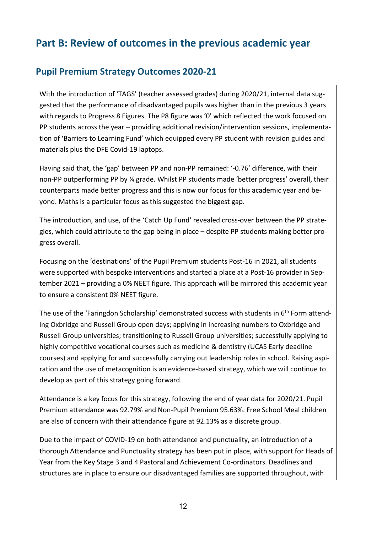# Part B: Review of outcomes in the previous academic year

#### Pupil Premium Strategy Outcomes 2020-21

With the introduction of 'TAGS' (teacher assessed grades) during 2020/21, internal data suggested that the performance of disadvantaged pupils was higher than in the previous 3 years with regards to Progress 8 Figures. The P8 figure was '0' which reflected the work focused on PP students across the year – providing additional revision/intervention sessions, implementation of 'Barriers to Learning Fund' which equipped every PP student with revision guides and materials plus the DFE Covid-19 laptops.

Having said that, the 'gap' between PP and non-PP remained: '-0.76' difference, with their non-PP outperforming PP by ¾ grade. Whilst PP students made 'better progress' overall, their counterparts made better progress and this is now our focus for this academic year and beyond. Maths is a particular focus as this suggested the biggest gap.

The introduction, and use, of the 'Catch Up Fund' revealed cross-over between the PP strategies, which could attribute to the gap being in place – despite PP students making better progress overall.

Focusing on the 'destinations' of the Pupil Premium students Post-16 in 2021, all students were supported with bespoke interventions and started a place at a Post-16 provider in September 2021 – providing a 0% NEET figure. This approach will be mirrored this academic year to ensure a consistent 0% NEET figure.

The use of the 'Faringdon Scholarship' demonstrated success with students in 6<sup>th</sup> Form attending Oxbridge and Russell Group open days; applying in increasing numbers to Oxbridge and Russell Group universities; transitioning to Russell Group universities; successfully applying to highly competitive vocational courses such as medicine & dentistry (UCAS Early deadline courses) and applying for and successfully carrying out leadership roles in school. Raising aspiration and the use of metacognition is an evidence-based strategy, which we will continue to develop as part of this strategy going forward.

Attendance is a key focus for this strategy, following the end of year data for 2020/21. Pupil Premium attendance was 92.79% and Non-Pupil Premium 95.63%. Free School Meal children are also of concern with their attendance figure at 92.13% as a discrete group.

Due to the impact of COVID-19 on both attendance and punctuality, an introduction of a thorough Attendance and Punctuality strategy has been put in place, with support for Heads of Year from the Key Stage 3 and 4 Pastoral and Achievement Co-ordinators. Deadlines and structures are in place to ensure our disadvantaged families are supported throughout, with